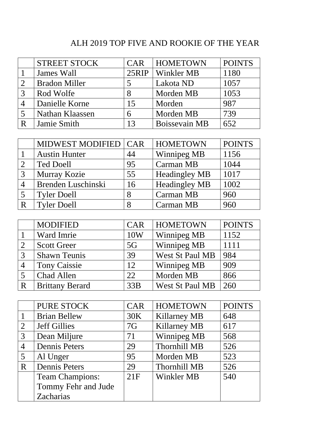## ALH 2019 TOP FIVE AND ROOKIE OF THE YEAR

|   | <b>STREET STOCK</b>  | <b>CAR</b> | <b>HOMETOWN</b>      | <b>POINTS</b> |
|---|----------------------|------------|----------------------|---------------|
|   | James Wall           |            | 25RIP   Winkler MB   | 1180          |
|   | <b>Bradon Miller</b> |            | Lakota ND            | 1057          |
|   | Rod Wolfe            |            | Morden MB            | 1053          |
|   | Danielle Korne       | 15         | Morden               | 987           |
|   | Nathan Klaassen      | 6          | Morden MB            | 739           |
| R | Jamie Smith          | 13         | <b>Boissevain MB</b> | 652           |

|   | <b>MIDWEST MODIFIED   CAR</b> |    | <b>HOMETOWN</b>      | <b>POINTS</b> |
|---|-------------------------------|----|----------------------|---------------|
|   | <b>Austin Hunter</b>          | 44 | Winnipeg MB          | 1156          |
|   | <b>Ted Doell</b>              | 95 | Carman MB            | 1044          |
|   | Murray Kozie                  | 55 | <b>Headingley MB</b> | 1017          |
|   | Brenden Luschinski            | 16 | <b>Headingley MB</b> | 1002          |
|   | <b>Tyler Doell</b>            | 8  | Carman MB            | 960           |
| R | <b>Tyler Doell</b>            |    | Carman MB            | 960           |

|   | <b>MODIFIED</b>        | <b>CAR</b> | <b>HOMETOWN</b> | <b>POINTS</b> |
|---|------------------------|------------|-----------------|---------------|
|   | Ward Imrie             | 10W        | Winnipeg MB     | 1152          |
|   | <b>Scott Greer</b>     | 5G         | Winnipeg MB     | 1111          |
| 3 | <b>Shawn Teunis</b>    | 39         | West St Paul MB | 984           |
|   | <b>Tony Caissie</b>    | 12         | Winnipeg MB     | 909           |
|   | Chad Allen             | 22         | Morden MB       | 866           |
| R | <b>Brittany Berard</b> | 33B        | West St Paul MB | 260           |

|                | <b>PURE STOCK</b>      | <b>CAR</b> | <b>HOMETOWN</b>     | <b>POINTS</b> |
|----------------|------------------------|------------|---------------------|---------------|
|                | <b>Brian Bellew</b>    | 30K        | <b>Killarney MB</b> | 648           |
| $\overline{2}$ | <b>Jeff Gillies</b>    | 7G         | Killarney MB        | 617           |
| 3              | Dean Miljure           | 71         | Winnipeg MB         | 568           |
| 4              | <b>Dennis Peters</b>   | 29         | <b>Thornhill MB</b> | 526           |
| 5              | Al Unger               | 95         | Morden MB           | 523           |
| R              | <b>Dennis Peters</b>   | 29         | <b>Thornhill MB</b> | 526           |
|                | <b>Team Champions:</b> | 21F        | Winkler MB          | 540           |
|                | Tommy Fehr and Jude    |            |                     |               |
|                | Zacharias              |            |                     |               |